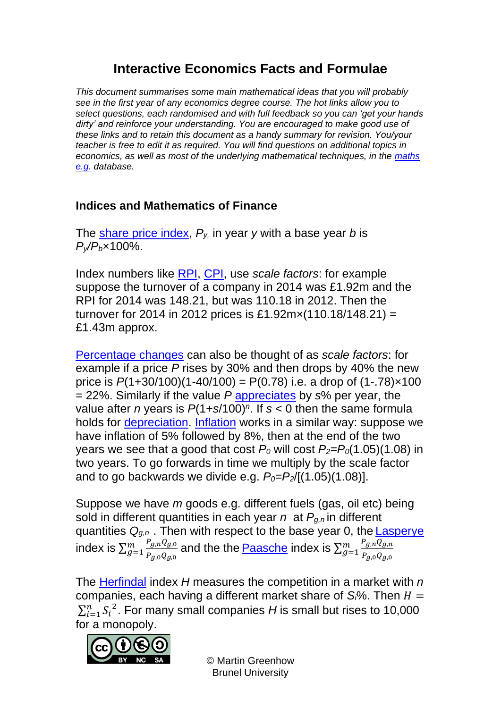# **Interactive Economics Facts and Formulae**

*This document summarises some main mathematical ideas that you will probably see in the first year of any economics degree course. The hot links allow you to select questions, each randomised and with full feedback so you can 'get your hands dirty' and reinforce your understanding. You are encouraged to make good use of these links and to retain this document as a handy summary for revision. You/your teacher is free to edit it as required. You will find questions on additional topics in economics, as well as most of the underlying mathematical techniques, in the [maths](https://www.mathcentre.ac.uk:8081/mathseg/)  [e.g.](https://www.mathcentre.ac.uk:8081/mathseg/) database.*

#### **Indices and Mathematics of Finance**

The [share price index,](https://www.mathcentre.ac.uk:8081/mathseg/topic.jsp?pid=702) *Py,* in year *y* with a base year *b* is *Py/Pb*×100%.

Index numbers like [RPI,](https://www.mathcentre.ac.uk:8081/mathseg/topic.jsp?pid=703) [CPI,](https://www.mathcentre.ac.uk:8081/mathseg/topic.jsp?pid=702) use *scale factors*: for example suppose the turnover of a company in 2014 was £1.92m and the RPI for 2014 was 148.21, but was 110.18 in 2012. Then the turnover for 2014 in 2012 prices is £1.92m $\times$ (110.18/148.21) = £1.43m approx.

[Percentage changes](https://www.mathcentre.ac.uk:8081/mathseg/topic.jsp?pid=1028) can also be thought of as *scale factors*: for example if a price *P* rises by 30% and then drops by 40% the new price is  $P(1+30/100)(1-40/100) = P(0.78)$  i.e. a drop of  $(1-.78) \times 100$ = 22%. Similarly if the value *P* [appreciates](https://www.mathcentre.ac.uk:8081/mathseg/topic.jsp?pid=701) by *s*% per year, the value after *n* years is  $P(1+s/100)^n$ . If  $s < 0$  then the same formula holds for [depreciation.](https://www.mathcentre.ac.uk:8081/mathseg/topic.jsp?pid=701) [Inflation](https://www.mathcentre.ac.uk:8081/mathseg/topic.jsp?pid=703) works in a similar way: suppose we have inflation of 5% followed by 8%, then at the end of the two vears we see that a good that cost  $P_0$  will cost  $P_2 = P_0(1.05)(1.08)$  in two years. To go forwards in time we multiply by the scale factor and to go backwards we divide e.g.  $P_0 = P_2/[(1.05)(1.08)]$ .

Suppose we have *m* goods e.g. different fuels (gas, oil etc) being sold in different quantities in each year *n* at *Pg,n* in different quantities *Qg,n* . Then with respect to the base year 0, the [Lasperye](https://www.mathcentre.ac.uk:8081/mathseg/topic.jsp?pid=702) index is  $\sum_{q=1}^{m} \frac{P_{g,n}Q_{g,0}}{P_{g,n}Q_{g,0}}$  $P_{g,0}Q_{g,0}$  $\frac{m}{g=1} \frac{P_{g,n} Q_{g,0}}{P_{g,n} Q_{g,n}}$  and the the <u>[Paasche](https://www.mathcentre.ac.uk:8081/mathseg/topic.jsp?pid=702)</u> index is  $\sum_{g=1}^m \frac{P_{g,n} Q_{g,n}}{P_{g,n} Q_{g,n}}$  $P_{g,0}Q_{g,0}$  $\boldsymbol{m}$  $g=1$ 

The [Herfindal](https://www.mathcentre.ac.uk:8081/mathseg/topic.jsp?pid=702) index *H* measures the competition in a market with *n* companies, each having a different market share of  $S\%$ . Then  $H =$  $\sum_{i=1}^n S_i^2$  $n_{i=1}^n$   $S_i^2$ . For many small companies *H* is small but rises to 10,000 for a monopoly.

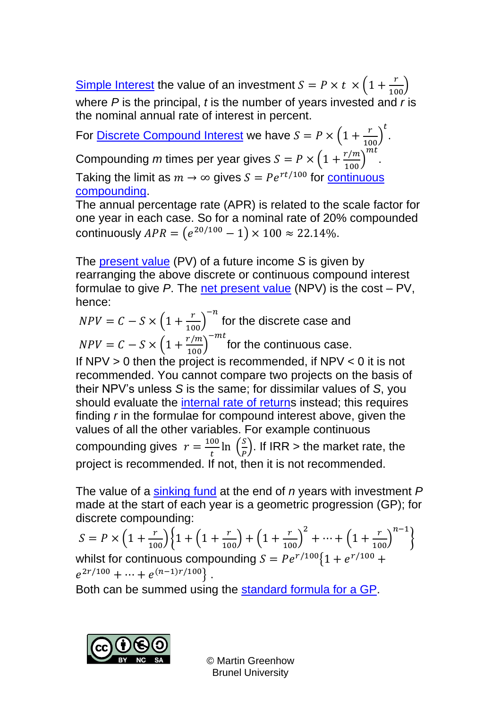[Simple Interest](https://www.mathcentre.ac.uk:8081/mathseg/topic.jsp?pid=700) the value of an investment  $S = P \times t \times \left(1 + \frac{r}{100}\right)$ where *P* is the principal, *t* is the number of years invested and *r* is the nominal annual rate of interest in percent.

For <u>Discrete Compound Interest</u> we have  $S = P \times \left(1 + \frac{r}{100}\right)$  $\mathfrak{t}$ .  $m<sub>t</sub>$ 

Compounding *m* times per year gives  $S = P \times \left(1 + \frac{r/m}{100}\right)$ 

Taking the limit as  $m \to \infty$  gives  $S = Pe^{rt/100}$  for <u>continuous</u> [compounding.](https://www.mathcentre.ac.uk:8081/mathseg/topic.jsp?pid=695)

The annual percentage rate (APR) is related to the scale factor for one year in each case. So for a nominal rate of 20% compounded continuously  $APR = (e^{20/100} - 1) \times 100 \approx 22.14\%$ .

.

The [present value](https://www.mathcentre.ac.uk:8081/mathseg/topic.jsp?pid=698) (PV) of a future income *S* is given by rearranging the above discrete or continuous compound interest formulae to give *P*. The [net present value](https://www.mathcentre.ac.uk:8081/mathseg/topic.jsp?pid=698) (NPV) is the cost – PV, hence:

 $NPV = C - S \times \left(1 + \frac{r}{100}\right)$  $-n$ for the discrete case and  $NPV = C - S \times \left(1 + \frac{r/m}{100}\right)$  $-mt$ for the continuous case.

If  $NPV > 0$  then the project is recommended, if  $NPV < 0$  it is not recommended. You cannot compare two projects on the basis of their NPV's unless *S* is the same; for dissimilar values of *S*, you should evaluate the [internal rate of returns](https://www.mathcentre.ac.uk:8081/mathseg/topic.jsp?pid=698) instead; this requires finding *r* in the formulae for compound interest above, given the values of all the other variables. For example continuous compounding gives  $r = \frac{100}{t}$  $\frac{00}{t}$ ln  $\left(\frac{S}{P}\right)$  $\frac{3}{p}$ ). If IRR > the market rate, the project is recommended. If not, then it is not recommended.

The value of a [sinking fund](https://www.mathcentre.ac.uk:8081/mathseg/topic.jsp?pid=699) at the end of *n* years with investment *P* made at the start of each year is a geometric progression (GP); for discrete compounding:

$$
S = P \times \left(1 + \frac{r}{100}\right) \left\{1 + \left(1 + \frac{r}{100}\right) + \left(1 + \frac{r}{100}\right)^2 + \dots + \left(1 + \frac{r}{100}\right)^{n-1}\right\}
$$

whilst for continuous compounding  $S = Pe^{r/100} \{1 + e^{r/100} +$  $e^{2r/100} + \cdots + e^{(n-1)r/100}$ .

Both can be summed using the [standard formula for a GP.](https://www.mathcentre.ac.uk:8081/mathseg/topic.jsp?pid=57)

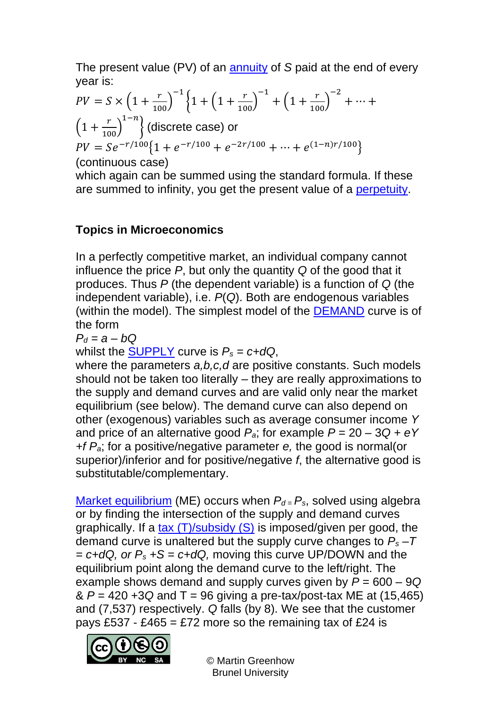The present value (PV) of an [annuity](https://www.mathcentre.ac.uk:8081/mathseg/topic.jsp?pid=699) of *S* paid at the end of every year is:

$$
PV = S \times \left(1 + \frac{r}{100}\right)^{-1} \left\{1 + \left(1 + \frac{r}{100}\right)^{-1} + \left(1 + \frac{r}{100}\right)^{-2} + \dots + \left(1 + \frac{r}{100}\right)^{1-n}\right\} \text{ (discrete case) or}
$$
\n
$$
PV = Se^{-r/100} \left\{1 + e^{-r/100} + e^{-2r/100} + \dots + e^{(1-n)r/100}\right\}
$$
\n(continuous case)

(continuous case)

which again can be summed using the standard formula. If these are summed to infinity, you get the present value of a [perpetuity.](https://www.mathcentre.ac.uk:8081/mathseg/topic.jsp?pid=699)

### **Topics in Microeconomics**

In a perfectly competitive market, an individual company cannot influence the price *P*, but only the quantity *Q* of the good that it produces. Thus *P* (the dependent variable) is a function of *Q* (the independent variable), i.e. *P*(*Q*). Both are endogenous variables (within the model). The simplest model of the [DEMAND](https://www.mathcentre.ac.uk:8081/mathseg/topic.jsp?pid=715) curve is of the form

$$
P_d = a - bQ
$$

whilst the **SUPPLY** curve is  $P_s = c + dQ$ ,

where the parameters *a,b,c,d* are positive constants. Such models should not be taken too literally – they are really approximations to the supply and demand curves and are valid only near the market equilibrium (see below). The demand curve can also depend on other (exogenous) variables such as average consumer income *Y* and price of an alternative good  $P_a$ ; for example  $P = 20 - 3Q + eY$ *+f Pa*; for a positive/negative parameter *e,* the good is normal(or superior)/inferior and for positive/negative *f*, the alternative good is substitutable/complementary.

[Market equilibrium](https://www.mathcentre.ac.uk:8081/mathseg/topic.jsp?pid=715) (ME) occurs when  $P_{d} = P_{s}$ , solved using algebra or by finding the intersection of the supply and demand curves graphically. If a tax  $(T)/$ subsidy  $(S)$  is imposed/given per good, the demand curve is unaltered but the supply curve changes to *P<sup>s</sup> –T = c+dQ, or P<sup>s</sup> +S = c+dQ,* moving this curve UP/DOWN and the equilibrium point along the demand curve to the left/right. The example shows demand and supply curves given by *P* = 600 – 9*Q* & *P* = 420 +3*Q* and T = 96 giving a pre-tax/post-tax ME at (15,465) and (7,537) respectively. *Q* falls (by 8). We see that the customer pays £537 - £465 = £72 more so the remaining tax of £24 is

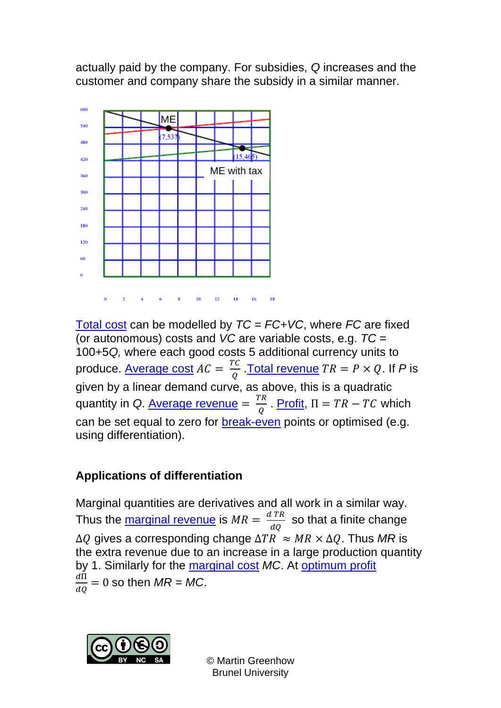actually paid by the company. For subsidies, *Q* increases and the customer and company share the subsidy in a similar manner.



[Total cost](https://www.mathcentre.ac.uk:8081/mathseg/topic.jsp?pid=709) can be modelled by *TC = FC+VC*, where *FC* are fixed (or autonomous) costs and *VC* are variable costs, e.g. *TC* = 100+5*Q,* where each good costs 5 additional currency units to produce. <u>Average cost</u>  $AC = \frac{TC}{2}$  $\frac{C}{Q}$ . <u>Total revenue</u>  $TR = P \times Q$ . If P is given by a linear demand curve, as above, this is a quadratic quantity in *Q*. <u>Average revenue</u> =  $\frac{TR}{2}$  $\frac{R}{Q}$ . [Profit,](https://www.mathcentre.ac.uk:8081/mathseg/topic.jsp?pid=709)  $\Pi = TR - TC$  which can be set equal to zero for [break-even](https://www.mathcentre.ac.uk:8081/mathseg/topic.jsp?pid=709) points or optimised (e.g. using differentiation).

# **Applications of differentiation**

Marginal quantities are derivatives and all work in a similar way. Thus the <u>marginal revenue</u> is  $MR = \frac{d \, TR}{d \Omega}$  $rac{t+h}{dQ}$  so that a finite change  $\Delta Q$  gives a corresponding change  $\Delta TR \approx MR \times \Delta Q$ . Thus MR is the extra revenue due to an increase in a large production quantity by 1. Similarly for the [marginal cost](https://www.mathcentre.ac.uk:8081/mathseg/topic.jsp?pid=709) *MC*. At [optimum profit](https://www.mathcentre.ac.uk:8081/mathseg/topic.jsp?pid=128)  $d\Pi$  $\frac{dH}{dQ} = 0$  so then  $MR = MC$ .

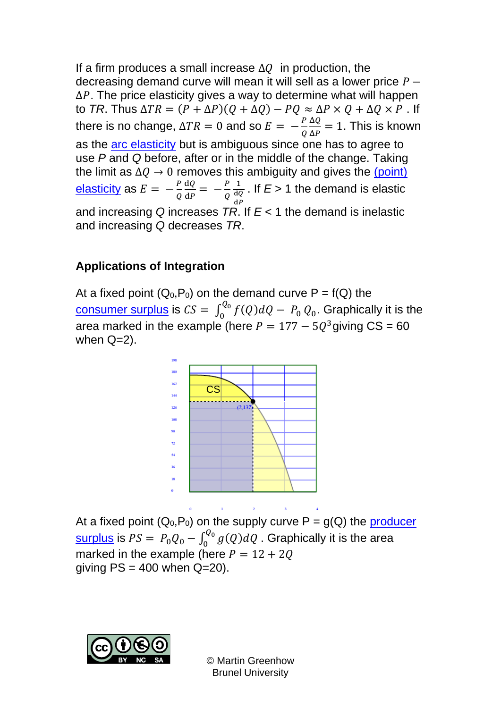If a firm produces a small increase  $\Delta Q$  in production, the decreasing demand curve will mean it will sell as a lower price  $P \Delta P$ . The price elasticity gives a way to determine what will happen to *TR*. Thus  $\Delta TR = (P + \Delta P)(Q + \Delta Q) - PQ \approx \Delta P \times Q + \Delta Q \times P$ . If there is no change,  $\Delta TR = 0$  and so  $E = -\frac{P}{Q}$ Q ΔQ  $\frac{\Delta Q}{\Delta P} = 1$ . This is known as the [arc elasticity](https://www.mathcentre.ac.uk:8081/mathseg/topic.jsp?pid=691) but is ambiguous since one has to agree to use *P* and *Q* before, after or in the middle of the change. Taking the limit as  $\Delta Q \rightarrow 0$  removes this ambiguity and gives the (point) <u>[elasticity](https://www.mathcentre.ac.uk:8081/mathseg/topic.jsp?pid=690)</u> as  $E = -\frac{P}{Q}$ Q dQ  $\frac{\mathrm{d}Q}{\mathrm{d}P} = -\frac{P}{Q}$ Q 1 dQ d . If  $E > 1$  the demand is elastic and increasing *Q* increases *TR*. If *E* < 1 the demand is inelastic and increasing *Q* decreases *TR*.

#### **Applications of Integration**

At a fixed point  $(Q_0, P_0)$  on the demand curve  $P = f(Q)$  the <u>[consumer surplus](https://www.mathcentre.ac.uk:8081/mathseg/topic.jsp?pid=707)</u> is  $CS = \int_0^{Q_0} f(Q)dQ - P_0$  $\int_{0}^{\tau_{Q_0}} f(Q) dQ - P_0 Q_0$ . Graphically it is the area marked in the example (here  $P = 177 - 5Q^3$ giving CS = 60 when  $Q=2$ ).



At a fixed point  $(Q_0, P_0)$  on the supply curve  $P = g(Q)$  the producer <u>[surplus](https://www.mathcentre.ac.uk:8081/mathseg/topic.jsp?pid=707)</u> is  $PS = P_0 Q_0 - \int_0^{Q_0} g(Q) dQ$  . Graphically it is the area marked in the example (here  $P = 12 + 20$ giving  $PS = 400$  when  $Q=20$ ).

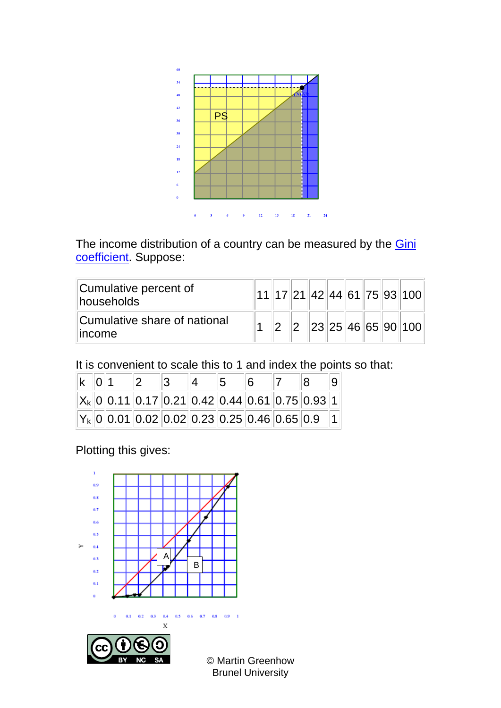

The income distribution of a country can be measured by the **Gini** [coefficient.](https://www.mathcentre.ac.uk:8081/mathseg/topic.jsp?pid=702) Suppose:

| Cumulative percent of<br>households                  |  |  |  |  | 11   17   21   42   44   61   75   93   100 |
|------------------------------------------------------|--|--|--|--|---------------------------------------------|
| Cumulative share of national<br><i><b>Income</b></i> |  |  |  |  | 23 25 46 65 90 100                          |

It is convenient to scale this to 1 and index the points so that:

|  | $k \mid 0 \mid 1$ |  |  |                                                    |  |
|--|-------------------|--|--|----------------------------------------------------|--|
|  |                   |  |  | $X_k$ 0 0.11 0.17 0.21 0.42 0.44 0.61 0.75 0.93 1  |  |
|  |                   |  |  | $ Y_k $ 0 0.01 0.02 0.02 0.23 0.25 0.46 0.65 0.9 1 |  |

Plotting this gives:

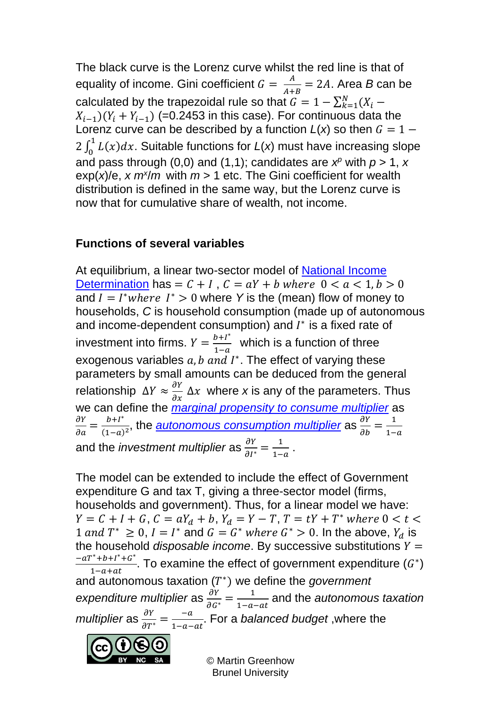The black curve is the Lorenz curve whilst the red line is that of equality of income. Gini coefficient  $G = \frac{A}{\Delta t}$  $\frac{A}{A+B}$  = 2*A*. Area *B* can be calculated by the trapezoidal rule so that  $G = 1 - \sum_{k=1}^{N} (X_i X_{i-1}$ )( $Y_i + Y_{i-1}$ ) (=0.2453 in this case). For continuous data the Lorenz curve can be described by a function  $L(x)$  so then  $G = 1 2 \int_0^1 L(x) dx$ . Suitable functions for  $L(x)$  must have increasing slope and pass through (0,0) and (1,1); candidates are  $x^p$  with  $p > 1$ , x  $exp(x)/e$ , *x*  $m^2/m$  with  $m > 1$  etc. The Gini coefficient for wealth distribution is defined in the same way, but the Lorenz curve is now that for cumulative share of wealth, not income.

### **Functions of several variables**

At equilibrium, a linear two-sector model of [National Income](https://www.mathcentre.ac.uk:8081/mathseg/topic.jsp?pid=1146)  [Determination](https://www.mathcentre.ac.uk:8081/mathseg/topic.jsp?pid=1146) has =  $C + I$ ,  $C = aY + b$  where  $0 < a < 1, b > 0$ and  $I = I^*$ *where*  $I^* > 0$  where Y is the (mean) flow of money to households, *C* is household consumption (made up of autonomous and income-dependent consumption) and  $I^*$  is a fixed rate of investment into firms.  $Y = \frac{b + I^*}{1 - I}$  $\frac{b+i}{1-a}$  which is a function of three exogenous variables  $a, b$  and  $I^*$ . The effect of varying these parameters by small amounts can be deduced from the general relationship  $\Delta Y \approx \frac{\partial Y}{\partial x} \Delta x$  where x is any of the parameters. Thus we can define the *[marginal propensity to consume multiplier](https://www.mathcentre.ac.uk:8081/mathseg/topic.jsp?pid=1144)* as  $\frac{\partial Y}{\partial a} = \frac{b + I^*}{(1 - a)}$  $\frac{b+i^*}{(1-a)^2}$ , the <u>[autonomous consumption multiplier](https://www.mathcentre.ac.uk:8081/mathseg/topic.jsp?pid=1145)</u> as  $\frac{\partial Y}{\partial b} = \frac{1}{1-a}$  $1-a$ and the *investment multiplier* as  $\frac{\partial Y}{\partial I^*} = \frac{1}{1 - \frac{1}{1 - \frac{1}{1 - \frac{1}{1 - \frac{1}{1 - \frac{1}{1 - \frac{1}{1 - \frac{1}{1 - \frac{1}{1 - \frac{1}{1 - \frac{1}{1 - \frac{1}{1 - \frac{1}{1 - \frac{1}{1 - \frac{1}{1 - \frac{1}{1 - \frac{1}{1 - \frac{1}{1 - \frac{1}{1 - \frac{1}{1 - \frac{1}{1 - \frac{1}{1 - \frac{1}{1 - \frac{1}{1 - \frac{1}{1 - \frac{1}{1 - \frac{1}{1 - \frac{1}{1 - \frac{1}{1 - \frac{1$  $\frac{1}{1-a}$ .

The model can be extended to include the effect of Government expenditure G and tax T, giving a three-sector model (firms, households and government). Thus, for a linear model we have:  $Y = C + I + G$ ,  $C = aY_d + b$ ,  $Y_d = Y - T$ ,  $T = tY + T^*$  where  $0 < t <$ 1 and  $T^* \geq 0$ ,  $I = I^*$  and  $G = G^*$  where  $G^* > 0$ . In the above,  $Y_d$  is the household *disposable income*. By successive substitutions  $Y =$  $-aT^* + b + I^* + G^*$  $\frac{1-b+1^2+c^2}{1-a+at}$ . To examine the effect of government expenditure  $(G^*)$ and autonomous taxation (T<sup>\*</sup>) we define the *government* expenditure multiplier as  $\frac{\partial Y}{\partial G^*} = \frac{1}{1 - a}$  $\frac{1}{1-a-at}$  and the *autonomous taxation multiplier* as  $\frac{\partial Y}{\partial T^*} = \frac{-a}{1-a}$  $\frac{-a}{1-a-at}$ . For a *balanced budget* ,where the

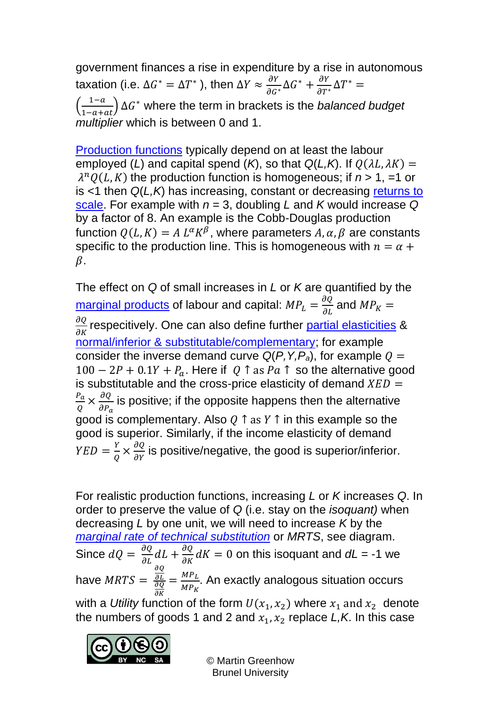government finances a rise in expenditure by a rise in autonomous taxation (i.e. Δ $G^* = \Delta T^*$  ), then  $\Delta Y \approx \frac{\partial Y}{\partial G^*} \Delta G^* + \frac{\partial Y}{\partial T^*} \Delta T^* =$  $\left(\frac{1-a}{1-a+at}\right)\Delta G^*$  where the term in brackets is the *balanced budget multiplier* which is between 0 and 1.

[Production functions](https://www.mathcentre.ac.uk:8081/mathseg/topic.jsp?pid=708) typically depend on at least the labour employed (*L*) and capital spend (*K*), so that  $Q(L,K)$ . If  $Q(\lambda L, \lambda K) =$  $\lambda^n Q(L,K)$  the production function is homogeneous; if  $n > 1$ , =1 or is <1 then *Q*(*L,K*) has increasing, constant or decreasing [returns to](https://www.mathcentre.ac.uk:8081/mathseg/topic.jsp?pid=708)  [scale.](https://www.mathcentre.ac.uk:8081/mathseg/topic.jsp?pid=708) For example with *n* = 3, doubling *L* and *K* would increase *Q* by a factor of 8. An example is the Cobb-Douglas production function  $Q(L,K) = A L^{\alpha} K^{\beta}$ , where parameters  $A, \alpha, \beta$  are constants specific to the production line. This is homogeneous with  $n = \alpha + \beta$  $\beta$ .

The effect on *Q* of small increases in *L* or *K* are quantified by the <u>[marginal products](https://www.mathcentre.ac.uk:8081/mathseg/topic.jsp?pid=709)</u> of labour and capital:  $MP_L = \frac{\partial Q}{\partial L}$  and  $MP_K =$  $\frac{\partial Q}{\partial K}$ respecitively. One can also define further <u>partial elasticities</u> & [normal/inferior & substitutable/complementary;](https://www.mathcentre.ac.uk:8081/mathseg/topic.jsp?pid=708) for example consider the inverse demand curve  $Q(P, Y, P_a)$ , for example  $Q =$  $100 - 2P + 0.1Y + P_a$ . Here if  $Q \uparrow$  as  $Pa \uparrow$  so the alternative good is substitutable and the cross-price elasticity of demand  $XED =$  $P_a$  $\frac{P_a}{Q} \times \frac{\partial Q}{\partial P_a}$  $\partial P_a$ is positive; if the opposite happens then the alternative good is complementary. Also  $Q \uparrow$  as  $Y \uparrow$  in this example so the good is superior. Similarly, if the income elasticity of demand  $YED = \frac{Y}{Q}$  $\frac{Y}{Q} \times \frac{\partial Q}{\partial Y}$  is positive/negative, the good is superior/inferior.

For realistic production functions, increasing *L* or *K* increases *Q*. In order to preserve the value of *Q* (i.e. stay on the *isoquant)* when decreasing *L* by one unit, we will need to increase *K* by the *[marginal rate of technical substitution](https://www.mathcentre.ac.uk:8081/mathseg/topic.jsp?pid=709)* or *MRTS*, see diagram. Since  $dQ = \frac{\partial Q}{\partial L} dL + \frac{\partial Q}{\partial K} dK = 0$  on this isoquant and  $dL = -1$  we have  $MRTS =$ дQ  $\partial L$ дQ  $\partial K$  $=\frac{MP_L}{MP}$  $MP<sub>K</sub>$ . An exactly analogous situation occurs with a *Utility* function of the form  $U(x_1, x_2)$  where  $x_1$  and  $x_2$  denote the numbers of goods 1 and 2 and  $x_1, x_2$  replace  $L, K$ . In this case

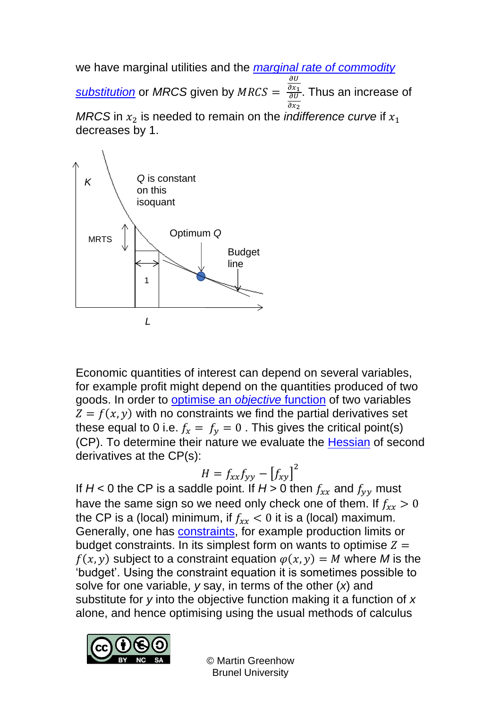we have marginal utilities and the *[marginal rate of commodity](https://www.mathcentre.ac.uk:8081/mathseg/topic.jsp?pid=709)* 

**[substitution](https://www.mathcentre.ac.uk:8081/mathseg/topic.jsp?pid=709)** or MRCS given by MRCS =  $\overline{\partial U}$  $\partial x_1$  $\frac{\partial x_1}{\partial U}$ . Thus an increase of  $\partial x_2$ *MRCS* in  $x_2$  is needed to remain on the *indifference curve* if  $x_1$ decreases by 1.



Economic quantities of interest can depend on several variables, for example profit might depend on the quantities produced of two goods. In order to [optimise an](https://www.mathcentre.ac.uk:8081/mathseg/topic.jsp?pid=143) *objective* function of two variables  $Z = f(x, y)$  with no constraints we find the partial derivatives set these equal to 0 i.e.  $f_x = f_y = 0$ . This gives the critical point(s) (CP). To determine their nature we evaluate the [Hessian](https://www.mathcentre.ac.uk:8081/mathseg/topic.jsp?pid=143) of second derivatives at the CP(s):

$$
H = f_{xx}f_{yy} - [f_{xy}]^2
$$

If  $H < 0$  the CP is a saddle point. If  $H > 0$  then  $f_{xx}$  and  $f_{yy}$  must have the same sign so we need only check one of them. If  $f_{rr} > 0$ the CP is a (local) minimum, if  $f_{xx} < 0$  it is a (local) maximum. Generally, one has [constraints,](https://www.mathcentre.ac.uk:8081/mathseg/topic.jsp?pid=137) for example production limits or budget constraints. In its simplest form on wants to optimise  $Z =$  $f(x, y)$  subject to a constraint equation  $\varphi(x, y) = M$  where M is the 'budget'. Using the constraint equation it is sometimes possible to solve for one variable, *y* say, in terms of the other (*x*) and substitute for *y* into the objective function making it a function of *x* alone, and hence optimising using the usual methods of calculus

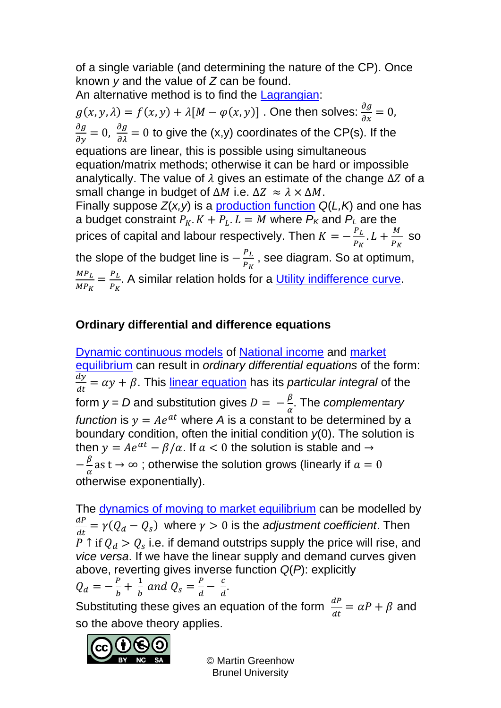of a single variable (and determining the nature of the CP). Once known *y* and the value of *Z* can be found.

An alternative method is to find the [Lagrangian:](https://www.mathcentre.ac.uk:8081/mathseg/topic.jsp?pid=137)

 $g(x, y, \lambda) = f(x, y) + \lambda [M - \varphi(x, y)]$  . One then solves:  $\frac{\partial g}{\partial x} = 0$ ,  $\frac{\partial g}{\partial y} = 0$ ,  $\frac{\partial g}{\partial \lambda} = 0$  to give the (x,y) coordinates of the CP(s). If the equations are linear, this is possible using simultaneous equation/matrix methods; otherwise it can be hard or impossible analytically. The value of  $\lambda$  gives an estimate of the change  $\Delta Z$  of a small change in budget of  $\Delta M$  i.e.  $\Delta Z \approx \lambda \times \Delta M$ . Finally suppose *Z*(*x,y*) is a [production function](https://www.mathcentre.ac.uk:8081/mathseg/topic.jsp?pid=709) *Q*(*L,K*) and one has a budget constraint  $P_K$ .  $K + P_L$ .  $L = M$  where  $P_K$  and  $P_L$  are the prices of capital and labour respectively. Then  $K = -\frac{P_L}{P}$  $\frac{P_L}{P_K}$ .  $L + \frac{M}{P_K}$  $P_K$ so the slope of the budget line is  $-\frac{P_L}{P}$  $P_K$ , see diagram. So at optimum,  $MP_L$  $\frac{{MP_L }}{{MP_K }} = \frac{{P_L }}{{P_K }}$  $P_K$ . A similar relation holds for a [Utility indifference curve.](https://www.mathcentre.ac.uk:8081/mathseg/topic.jsp?pid=709)

## **Ordinary differential and difference equations**

[Dynamic continuous models](https://www.mathcentre.ac.uk:8081/mathseg/topic.jsp?pid=713) of [National income](https://www.mathcentre.ac.uk:8081/mathseg/topic.jsp?pid=1145) and [market](https://www.mathcentre.ac.uk:8081/mathseg/topic.jsp?pid=1145)  [equilibrium](https://www.mathcentre.ac.uk:8081/mathseg/topic.jsp?pid=1145) can result in *ordinary differential equations* of the form:  $\frac{dy}{x}$  $\frac{dy}{dt} = \alpha y + \beta$ . This <u>linear equation</u> has its *particular integral* of the form *y* = *D* and substitution gives  $D = -\frac{\beta}{\alpha}$  $\frac{\rho}{\alpha}$ . The *complementary function* is  $y = Ae^{at}$  where *A* is a constant to be determined by a boundary condition, often the initial condition *y*(0). The solution is then  $y = Ae^{\alpha t} - \beta/\alpha$ . If  $a < 0$  the solution is stable and  $\rightarrow$  $-\frac{\beta}{\alpha}$  $\frac{\mu}{\alpha}$ as t → ∞ ; otherwise the solution grows (linearly if  $a=0$ otherwise exponentially).

The [dynamics of moving to market equilibrium](https://www.mathcentre.ac.uk:8081/mathseg/topic.jsp?pid=713) can be modelled by  $dP$  $\frac{dr}{dt} = \gamma ( Q_d - Q_s)$  where  $\gamma > 0$  is the *adjustment coefficient*. Then P ↑ if  $Q_d > Q_s$  i.e. if demand outstrips supply the price will rise, and *vice versa*. If we have the linear supply and demand curves given above, reverting gives inverse function *Q*(*P*): explicitly

$$
Q_d = -\frac{P}{b} + \frac{1}{b} \text{ and } Q_s = \frac{P}{d} - \frac{c}{d}.
$$

Substituting these gives an equation of the form  $\frac{dP}{dt} = \alpha P + \beta$  and so the above theory applies.

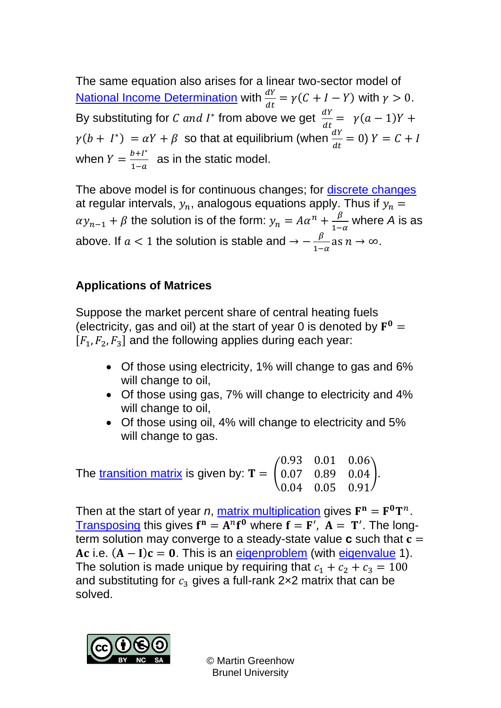The same equation also arises for a linear two-sector model of <u>[National Income Determination](https://www.mathcentre.ac.uk:8081/mathseg/topic.jsp?pid=1146)</u> with  $\frac{dY}{dt} = \gamma(C + I - Y)$  with  $\gamma > 0$ . By substituting for *C* and *I*<sup>\*</sup> from above we get  $\frac{dY}{dt} = \gamma(a-1)Y +$  $\gamma(b + I^*) = \alpha Y + \beta$  so that at equilibrium (when  $\frac{dY}{dt} = 0$ )  $Y = C + I$ when  $Y = \frac{b+I^*}{1-a}$  $\frac{b+1}{1-a}$  as in the static model.

The above model is for continuous changes; for [discrete changes](https://www.mathcentre.ac.uk:8081/mathseg/topic.jsp?pid=714) at regular intervals,  $y_n$ , analogous equations apply. Thus if  $y_n =$  $\alpha y_{n-1} + \beta$  the solution is of the form:  $y_n = A\alpha^n + \frac{\beta}{1-\beta}$  $\frac{p}{1-\alpha}$  where *A* is as above. If  $a < 1$  the solution is stable and  $\rightarrow -\frac{\beta}{4}$  $\frac{p}{1-\alpha}$  as  $n \to \infty$ .

#### **Applications of Matrices**

Suppose the market percent share of central heating fuels (electricity, gas and oil) at the start of year 0 is denoted by  $\mathbf{F}^0 =$  $[F_1, F_2, F_3]$  and the following applies during each year:

- Of those using electricity, 1% will change to gas and 6% will change to oil,
- Of those using gas, 7% will change to electricity and 4% will change to oil,
- Of those using oil, 4% will change to electricity and 5% will change to gas.

The [transition matrix](https://www.mathcentre.ac.uk:8081/mathseg/topic.jsp?pid=717) is given by:  $\mathbf{T} = \begin{bmatrix} 1 \\ 1 \end{bmatrix}$ 0.93 0.01 0.06 0.07 0.89 0.04 0.04 0.05 0.91 ).

Then at the start of year *n*, <u>matrix multiplication</u> gives  $F^n = F^0T^n$ . [Transposing](https://www.mathcentre.ac.uk:8081/mathseg/topic.jsp?pid=535) this gives  $f^n = A^n f^0$  where  $f = F'$ ,  $A = T'$ . The longterm solution may converge to a steady-state value  $\bf{c}$  such that  $\bf{c} =$ Ac i.e.  $(A - I)c = 0$ . This is an [eigenproblem](https://www.mathcentre.ac.uk:8081/mathseg/topic.jsp?pid=555) (with [eigenvalue](https://www.mathcentre.ac.uk:8081/mathseg/topic.jsp?pid=553) 1). The solution is made unique by requiring that  $c_1 + c_2 + c_3 = 100$ and substituting for  $c_3$  gives a full-rank 2×2 matrix that can be solved.